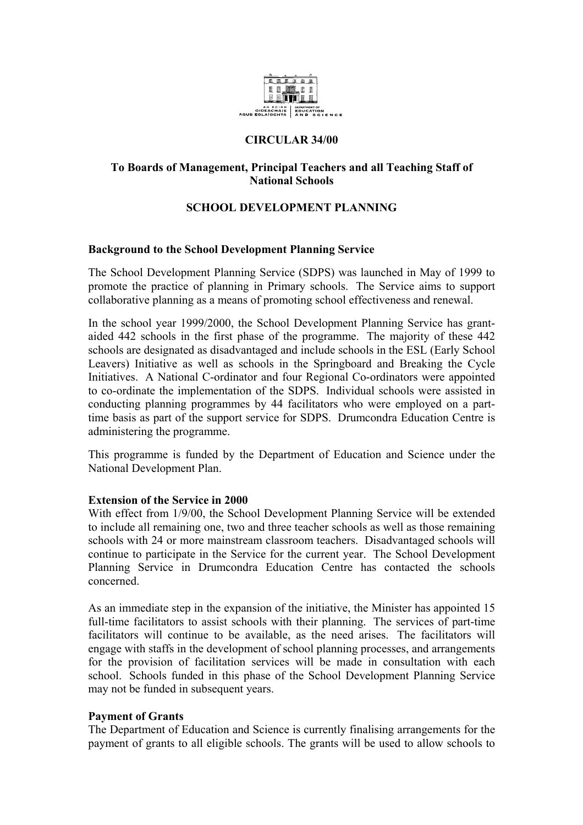

## **CIRCULAR 34/00**

## **To Boards of Management, Principal Teachers and all Teaching Staff of National Schools**

# **SCHOOL DEVELOPMENT PLANNING**

### **Background to the School Development Planning Service**

The School Development Planning Service (SDPS) was launched in May of 1999 to promote the practice of planning in Primary schools. The Service aims to support collaborative planning as a means of promoting school effectiveness and renewal.

In the school year 1999/2000, the School Development Planning Service has grantaided 442 schools in the first phase of the programme. The majority of these 442 schools are designated as disadvantaged and include schools in the ESL (Early School Leavers) Initiative as well as schools in the Springboard and Breaking the Cycle Initiatives. A National C-ordinator and four Regional Co-ordinators were appointed to co-ordinate the implementation of the SDPS. Individual schools were assisted in conducting planning programmes by 44 facilitators who were employed on a parttime basis as part of the support service for SDPS. Drumcondra Education Centre is administering the programme.

This programme is funded by the Department of Education and Science under the National Development Plan.

### **Extension of the Service in 2000**

With effect from 1/9/00, the School Development Planning Service will be extended to include all remaining one, two and three teacher schools as well as those remaining schools with 24 or more mainstream classroom teachers. Disadvantaged schools will continue to participate in the Service for the current year. The School Development Planning Service in Drumcondra Education Centre has contacted the schools concerned.

As an immediate step in the expansion of the initiative, the Minister has appointed 15 full-time facilitators to assist schools with their planning. The services of part-time facilitators will continue to be available, as the need arises. The facilitators will engage with staffs in the development of school planning processes, and arrangements for the provision of facilitation services will be made in consultation with each school. Schools funded in this phase of the School Development Planning Service may not be funded in subsequent years.

### **Payment of Grants**

The Department of Education and Science is currently finalising arrangements for the payment of grants to all eligible schools. The grants will be used to allow schools to